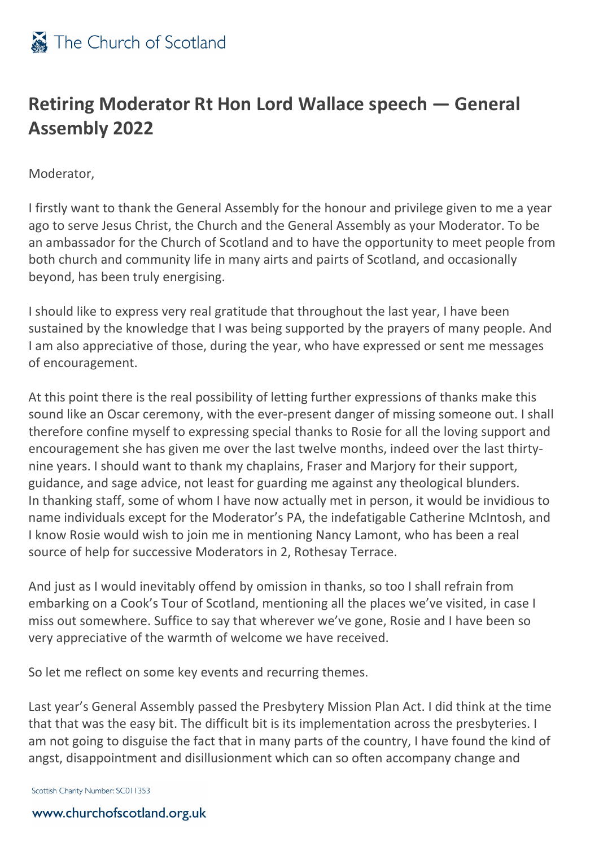

## **Retiring Moderator Rt Hon Lord Wallace speech — General Assembly 2022**

Moderator,

I firstly want to thank the General Assembly for the honour and privilege given to me a year ago to serve Jesus Christ, the Church and the General Assembly as your Moderator. To be an ambassador for the Church of Scotland and to have the opportunity to meet people from both church and community life in many airts and pairts of Scotland, and occasionally beyond, has been truly energising.

I should like to express very real gratitude that throughout the last year, I have been sustained by the knowledge that I was being supported by the prayers of many people. And I am also appreciative of those, during the year, who have expressed or sent me messages of encouragement.

At this point there is the real possibility of letting further expressions of thanks make this sound like an Oscar ceremony, with the ever-present danger of missing someone out. I shall therefore confine myself to expressing special thanks to Rosie for all the loving support and encouragement she has given me over the last twelve months, indeed over the last thirtynine years. I should want to thank my chaplains, Fraser and Marjory for their support, guidance, and sage advice, not least for guarding me against any theological blunders. In thanking staff, some of whom I have now actually met in person, it would be invidious to name individuals except for the Moderator's PA, the indefatigable Catherine McIntosh, and I know Rosie would wish to join me in mentioning Nancy Lamont, who has been a real source of help for successive Moderators in 2, Rothesay Terrace.

And just as I would inevitably offend by omission in thanks, so too I shall refrain from embarking on a Cook's Tour of Scotland, mentioning all the places we've visited, in case I miss out somewhere. Suffice to say that wherever we've gone, Rosie and I have been so very appreciative of the warmth of welcome we have received.

So let me reflect on some key events and recurring themes.

Last year's General Assembly passed the Presbytery Mission Plan Act. I did think at the time that that was the easy bit. The difficult bit is its implementation across the presbyteries. I am not going to disguise the fact that in many parts of the country, I have found the kind of angst, disappointment and disillusionment which can so often accompany change and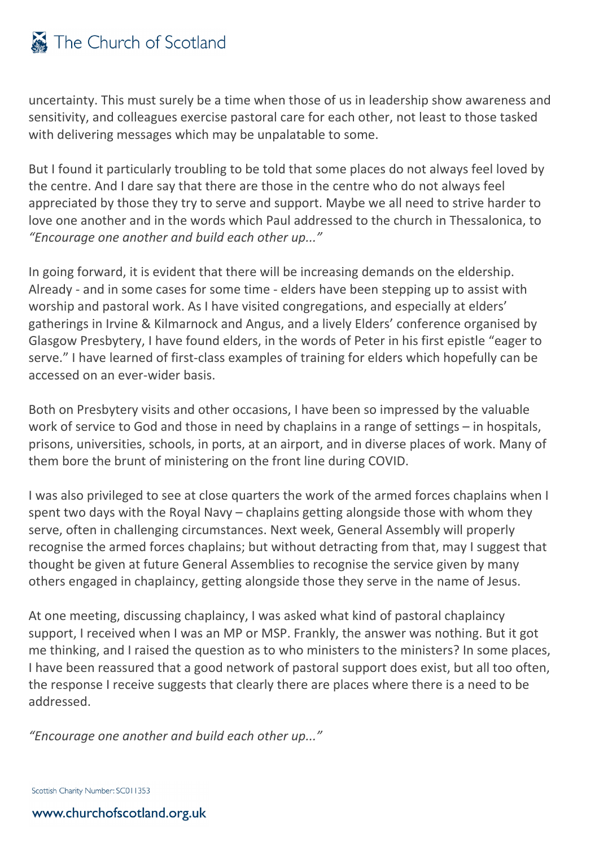

uncertainty. This must surely be a time when those of us in leadership show awareness and sensitivity, and colleagues exercise pastoral care for each other, not least to those tasked with delivering messages which may be unpalatable to some.

But I found it particularly troubling to be told that some places do not always feel loved by the centre. And I dare say that there are those in the centre who do not always feel appreciated by those they try to serve and support. Maybe we all need to strive harder to love one another and in the words which Paul addressed to the church in Thessalonica, to *"Encourage one another and build each other up..."*

In going forward, it is evident that there will be increasing demands on the eldership. Already - and in some cases for some time - elders have been stepping up to assist with worship and pastoral work. As I have visited congregations, and especially at elders' gatherings in Irvine & Kilmarnock and Angus, and a lively Elders' conference organised by Glasgow Presbytery, I have found elders, in the words of Peter in his first epistle "eager to serve." I have learned of first-class examples of training for elders which hopefully can be accessed on an ever-wider basis.

Both on Presbytery visits and other occasions, I have been so impressed by the valuable work of service to God and those in need by chaplains in a range of settings – in hospitals, prisons, universities, schools, in ports, at an airport, and in diverse places of work. Many of them bore the brunt of ministering on the front line during COVID.

I was also privileged to see at close quarters the work of the armed forces chaplains when I spent two days with the Royal Navy – chaplains getting alongside those with whom they serve, often in challenging circumstances. Next week, General Assembly will properly recognise the armed forces chaplains; but without detracting from that, may I suggest that thought be given at future General Assemblies to recognise the service given by many others engaged in chaplaincy, getting alongside those they serve in the name of Jesus.

At one meeting, discussing chaplaincy, I was asked what kind of pastoral chaplaincy support, I received when I was an MP or MSP. Frankly, the answer was nothing. But it got me thinking, and I raised the question as to who ministers to the ministers? In some places, I have been reassured that a good network of pastoral support does exist, but all too often, the response I receive suggests that clearly there are places where there is a need to be addressed.

*"Encourage one another and build each other up..."*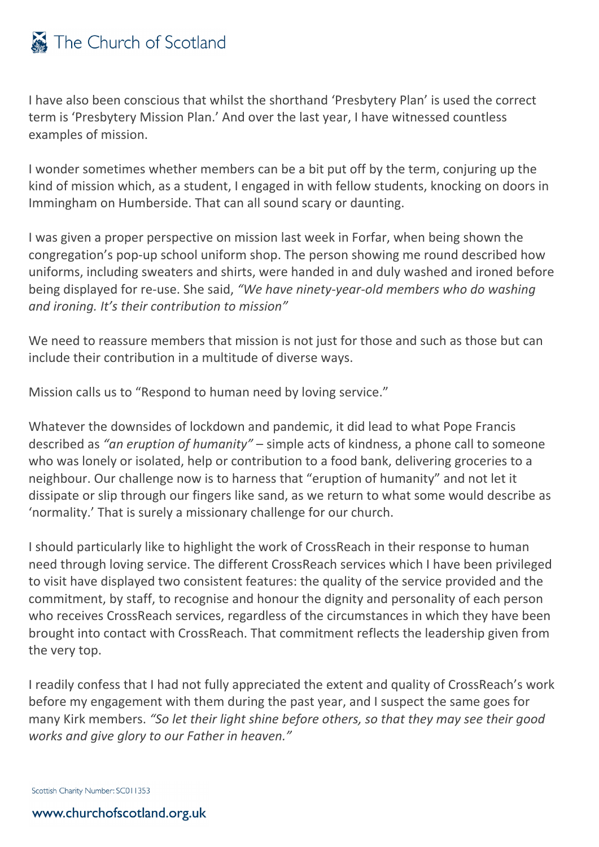## The Church of Scotland

I have also been conscious that whilst the shorthand 'Presbytery Plan' is used the correct term is 'Presbytery Mission Plan.' And over the last year, I have witnessed countless examples of mission.

I wonder sometimes whether members can be a bit put off by the term, conjuring up the kind of mission which, as a student, I engaged in with fellow students, knocking on doors in Immingham on Humberside. That can all sound scary or daunting.

I was given a proper perspective on mission last week in Forfar, when being shown the congregation's pop-up school uniform shop. The person showing me round described how uniforms, including sweaters and shirts, were handed in and duly washed and ironed before being displayed for re-use. She said, *"We have ninety-year-old members who do washing and ironing. It's their contribution to mission"*

We need to reassure members that mission is not just for those and such as those but can include their contribution in a multitude of diverse ways.

Mission calls us to "Respond to human need by loving service."

Whatever the downsides of lockdown and pandemic, it did lead to what Pope Francis described as *"an eruption of humanity"* – simple acts of kindness, a phone call to someone who was lonely or isolated, help or contribution to a food bank, delivering groceries to a neighbour. Our challenge now is to harness that "eruption of humanity" and not let it dissipate or slip through our fingers like sand, as we return to what some would describe as 'normality.' That is surely a missionary challenge for our church.

I should particularly like to highlight the work of CrossReach in their response to human need through loving service. The different CrossReach services which I have been privileged to visit have displayed two consistent features: the quality of the service provided and the commitment, by staff, to recognise and honour the dignity and personality of each person who receives CrossReach services, regardless of the circumstances in which they have been brought into contact with CrossReach. That commitment reflects the leadership given from the very top.

I readily confess that I had not fully appreciated the extent and quality of CrossReach's work before my engagement with them during the past year, and I suspect the same goes for many Kirk members. *"So let their light shine before others, so that they may see their good works and give glory to our Father in heaven."*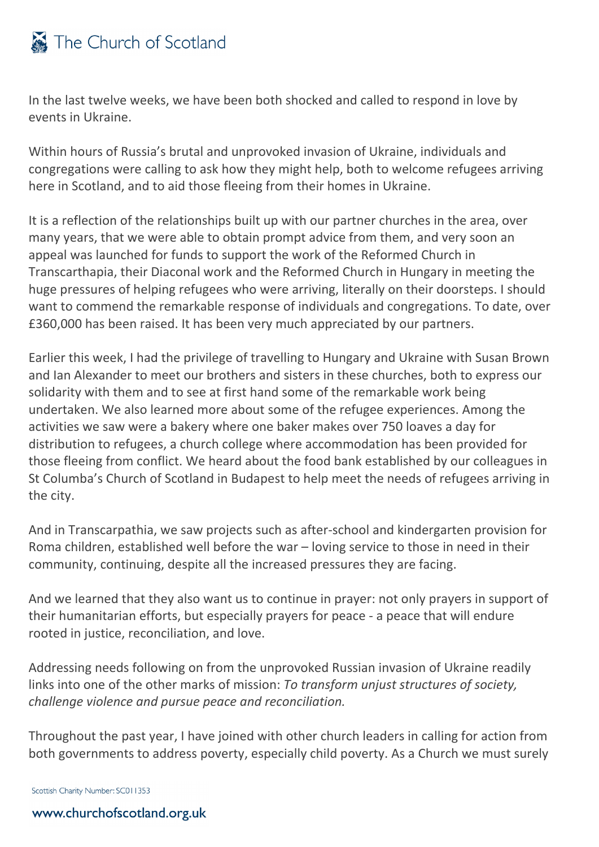## The Church of Scotland

In the last twelve weeks, we have been both shocked and called to respond in love by events in Ukraine.

Within hours of Russia's brutal and unprovoked invasion of Ukraine, individuals and congregations were calling to ask how they might help, both to welcome refugees arriving here in Scotland, and to aid those fleeing from their homes in Ukraine.

It is a reflection of the relationships built up with our partner churches in the area, over many years, that we were able to obtain prompt advice from them, and very soon an appeal was launched for funds to support the work of the Reformed Church in Transcarthapia, their Diaconal work and the Reformed Church in Hungary in meeting the huge pressures of helping refugees who were arriving, literally on their doorsteps. I should want to commend the remarkable response of individuals and congregations. To date, over £360,000 has been raised. It has been very much appreciated by our partners.

Earlier this week, I had the privilege of travelling to Hungary and Ukraine with Susan Brown and Ian Alexander to meet our brothers and sisters in these churches, both to express our solidarity with them and to see at first hand some of the remarkable work being undertaken. We also learned more about some of the refugee experiences. Among the activities we saw were a bakery where one baker makes over 750 loaves a day for distribution to refugees, a church college where accommodation has been provided for those fleeing from conflict. We heard about the food bank established by our colleagues in St Columba's Church of Scotland in Budapest to help meet the needs of refugees arriving in the city.

And in Transcarpathia, we saw projects such as after-school and kindergarten provision for Roma children, established well before the war – loving service to those in need in their community, continuing, despite all the increased pressures they are facing.

And we learned that they also want us to continue in prayer: not only prayers in support of their humanitarian efforts, but especially prayers for peace - a peace that will endure rooted in justice, reconciliation, and love.

Addressing needs following on from the unprovoked Russian invasion of Ukraine readily links into one of the other marks of mission: *To transform unjust structures of society, challenge violence and pursue peace and reconciliation.*

Throughout the past year, I have joined with other church leaders in calling for action from both governments to address poverty, especially child poverty. As a Church we must surely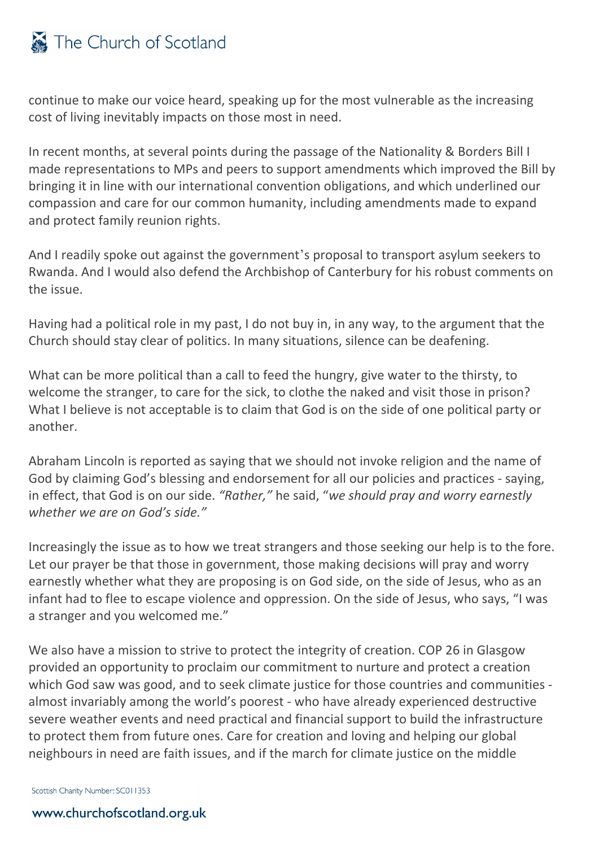## The Church of Scotland

continue to make our voice heard, speaking up for the most vulnerable as the increasing cost of living inevitably impacts on those most in need.

In recent months, at several points during the passage of the Nationality & Borders Bill I made representations to MPs and peers to support amendments which improved the Bill by bringing it in line with our international convention obligations, and which underlined our compassion and care for our common humanity, including amendments made to expand and protect family reunion rights.

And I readily spoke out against the government's proposal to transport asylum seekers to Rwanda. And I would also defend the Archbishop of Canterbury for his robust comments on the issue.

Having had a political role in my past, I do not buy in, in any way, to the argument that the Church should stay clear of politics. In many situations, silence can be deafening.

What can be more political than a call to feed the hungry, give water to the thirsty, to welcome the stranger, to care for the sick, to clothe the naked and visit those in prison? What I believe is not acceptable is to claim that God is on the side of one political party or another.

Abraham Lincoln is reported as saying that we should not invoke religion and the name of God by claiming God's blessing and endorsement for all our policies and practices - saying, in effect, that God is on our side. *"Rather,"* he said, "*we should pray and worry earnestly whether we are on God's side."*

Increasingly the issue as to how we treat strangers and those seeking our help is to the fore. Let our prayer be that those in government, those making decisions will pray and worry earnestly whether what they are proposing is on God side, on the side of Jesus, who as an infant had to flee to escape violence and oppression. On the side of Jesus, who says, "I was a stranger and you welcomed me."

We also have a mission to strive to protect the integrity of creation. COP 26 in Glasgow provided an opportunity to proclaim our commitment to nurture and protect a creation which God saw was good, and to seek climate justice for those countries and communities almost invariably among the world's poorest - who have already experienced destructive severe weather events and need practical and financial support to build the infrastructure to protect them from future ones. Care for creation and loving and helping our global neighbours in need are faith issues, and if the march for climate justice on the middle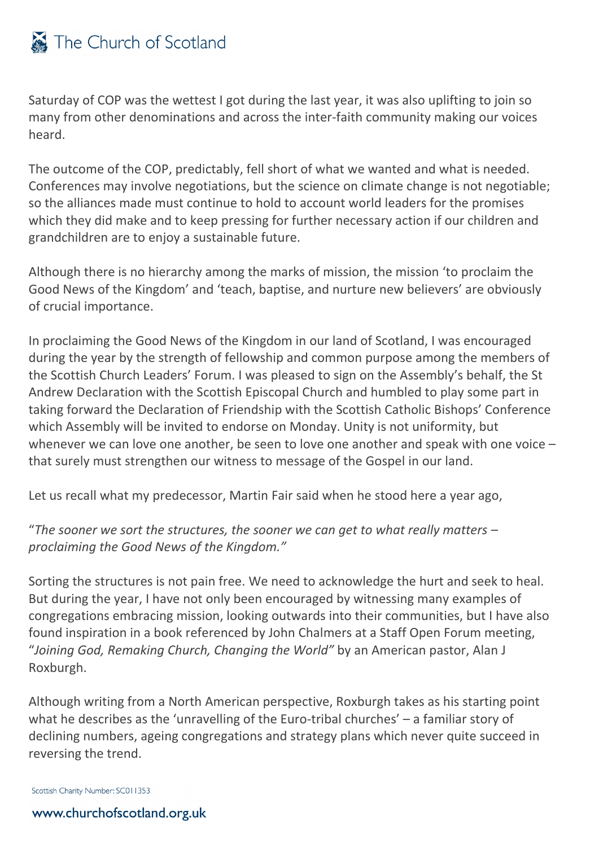

Saturday of COP was the wettest I got during the last year, it was also uplifting to join so many from other denominations and across the inter-faith community making our voices heard.

The outcome of the COP, predictably, fell short of what we wanted and what is needed. Conferences may involve negotiations, but the science on climate change is not negotiable; so the alliances made must continue to hold to account world leaders for the promises which they did make and to keep pressing for further necessary action if our children and grandchildren are to enjoy a sustainable future.

Although there is no hierarchy among the marks of mission, the mission 'to proclaim the Good News of the Kingdom' and 'teach, baptise, and nurture new believers' are obviously of crucial importance.

In proclaiming the Good News of the Kingdom in our land of Scotland, I was encouraged during the year by the strength of fellowship and common purpose among the members of the Scottish Church Leaders' Forum. I was pleased to sign on the Assembly's behalf, the St Andrew Declaration with the Scottish Episcopal Church and humbled to play some part in taking forward the Declaration of Friendship with the Scottish Catholic Bishops' Conference which Assembly will be invited to endorse on Monday. Unity is not uniformity, but whenever we can love one another, be seen to love one another and speak with one voice – that surely must strengthen our witness to message of the Gospel in our land.

Let us recall what my predecessor, Martin Fair said when he stood here a year ago,

"*The sooner we sort the structures, the sooner we can get to what really matters – proclaiming the Good News of the Kingdom."*

Sorting the structures is not pain free. We need to acknowledge the hurt and seek to heal. But during the year, I have not only been encouraged by witnessing many examples of congregations embracing mission, looking outwards into their communities, but I have also found inspiration in a book referenced by John Chalmers at a Staff Open Forum meeting, "*Joining God, Remaking Church, Changing the World"* by an American pastor, Alan J Roxburgh.

Although writing from a North American perspective, Roxburgh takes as his starting point what he describes as the 'unravelling of the Euro-tribal churches' – a familiar story of declining numbers, ageing congregations and strategy plans which never quite succeed in reversing the trend.